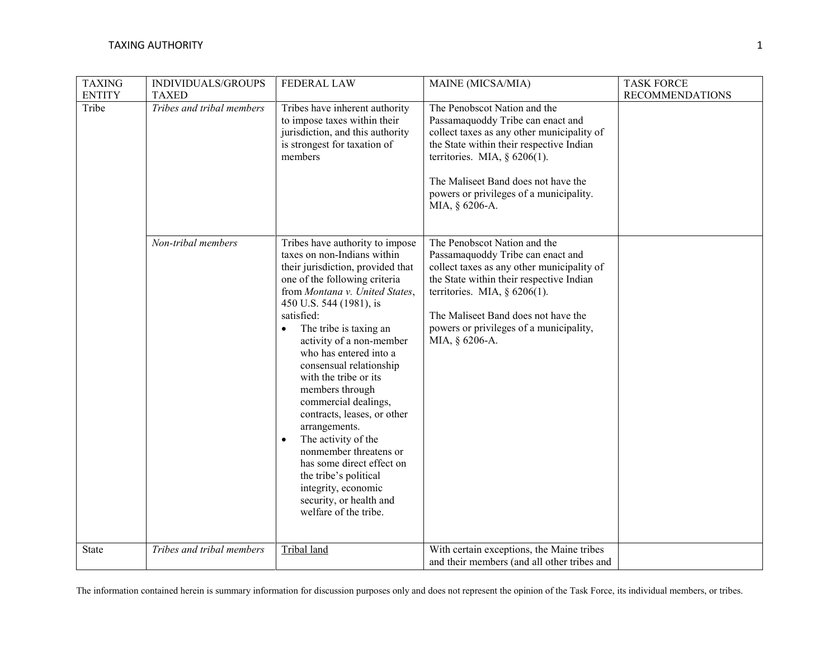| <b>TAXING</b><br><b>ENTITY</b> | INDIVIDUALS/GROUPS<br><b>TAXED</b> | <b>FEDERAL LAW</b>                                                                                                                                                                                                                                                                                                                                                                                                                                                                                                                                                                                                                            | MAINE (MICSA/MIA)                                                                                                                                                                                                                                                                                  | <b>TASK FORCE</b><br><b>RECOMMENDATIONS</b> |
|--------------------------------|------------------------------------|-----------------------------------------------------------------------------------------------------------------------------------------------------------------------------------------------------------------------------------------------------------------------------------------------------------------------------------------------------------------------------------------------------------------------------------------------------------------------------------------------------------------------------------------------------------------------------------------------------------------------------------------------|----------------------------------------------------------------------------------------------------------------------------------------------------------------------------------------------------------------------------------------------------------------------------------------------------|---------------------------------------------|
| Tribe                          | Tribes and tribal members          | Tribes have inherent authority<br>to impose taxes within their<br>jurisdiction, and this authority<br>is strongest for taxation of<br>members                                                                                                                                                                                                                                                                                                                                                                                                                                                                                                 | The Penobscot Nation and the<br>Passamaquoddy Tribe can enact and<br>collect taxes as any other municipality of<br>the State within their respective Indian<br>territories. MIA, $\S$ 6206(1).<br>The Maliseet Band does not have the<br>powers or privileges of a municipality.<br>MIA, § 6206-A. |                                             |
|                                | Non-tribal members                 | Tribes have authority to impose<br>taxes on non-Indians within<br>their jurisdiction, provided that<br>one of the following criteria<br>from Montana v. United States,<br>450 U.S. 544 (1981), is<br>satisfied:<br>The tribe is taxing an<br>activity of a non-member<br>who has entered into a<br>consensual relationship<br>with the tribe or its<br>members through<br>commercial dealings,<br>contracts, leases, or other<br>arrangements.<br>The activity of the<br>$\bullet$<br>nonmember threatens or<br>has some direct effect on<br>the tribe's political<br>integrity, economic<br>security, or health and<br>welfare of the tribe. | The Penobscot Nation and the<br>Passamaquoddy Tribe can enact and<br>collect taxes as any other municipality of<br>the State within their respective Indian<br>territories. MIA, $\S$ 6206(1).<br>The Maliseet Band does not have the<br>powers or privileges of a municipality,<br>MIA, § 6206-A. |                                             |
| <b>State</b>                   | Tribes and tribal members          | Tribal land                                                                                                                                                                                                                                                                                                                                                                                                                                                                                                                                                                                                                                   | With certain exceptions, the Maine tribes<br>and their members (and all other tribes and                                                                                                                                                                                                           |                                             |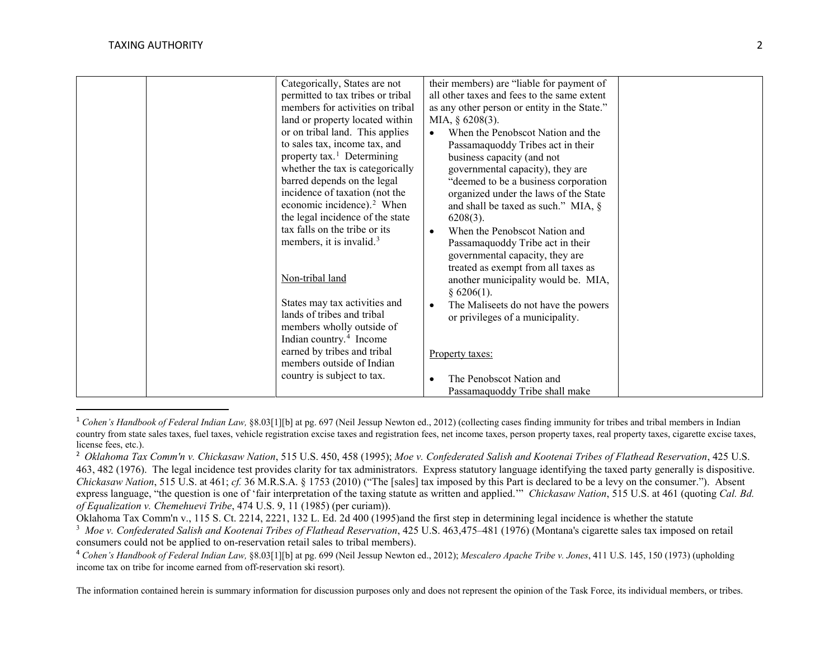<span id="page-1-3"></span><span id="page-1-2"></span><span id="page-1-1"></span><span id="page-1-0"></span>

| Categorically, States are not          | their members) are "liable for payment of         |
|----------------------------------------|---------------------------------------------------|
| permitted to tax tribes or tribal      | all other taxes and fees to the same extent       |
| members for activities on tribal       | as any other person or entity in the State."      |
| land or property located within        | MIA, $§$ 6208(3).                                 |
| or on tribal land. This applies        | When the Penobscot Nation and the<br>$\bullet$    |
| to sales tax, income tax, and          | Passamaquoddy Tribes act in their                 |
| property tax. <sup>1</sup> Determining | business capacity (and not                        |
| whether the tax is categorically       | governmental capacity), they are                  |
| barred depends on the legal            | "deemed to be a business corporation              |
| incidence of taxation (not the         | organized under the laws of the State             |
| economic incidence). <sup>2</sup> When | and shall be taxed as such." MIA, $\S$            |
| the legal incidence of the state       | $6208(3)$ .                                       |
| tax falls on the tribe or its          | When the Penobscot Nation and<br>$\bullet$        |
| members, it is invalid. <sup>3</sup>   | Passamaquoddy Tribe act in their                  |
|                                        | governmental capacity, they are                   |
|                                        | treated as exempt from all taxes as               |
| Non-tribal land                        | another municipality would be. MIA,               |
|                                        | § 6206(1).                                        |
| States may tax activities and          | The Maliseets do not have the powers<br>$\bullet$ |
| lands of tribes and tribal             | or privileges of a municipality.                  |
| members wholly outside of              |                                                   |
| Indian country. <sup>4</sup> Income    |                                                   |
| earned by tribes and tribal            | Property taxes:                                   |
| members outside of Indian              |                                                   |
| country is subject to tax.             | The Penobscot Nation and                          |
|                                        | $\bullet$                                         |
|                                        | Passamaquoddy Tribe shall make                    |

<sup>&</sup>lt;sup>1</sup> Cohen's Handbook of Federal Indian Law, §8.03[1][b] at pg. 697 (Neil Jessup Newton ed., 2012) (collecting cases finding immunity for tribes and tribal members in Indian country from state sales taxes, fuel taxes, vehicle registration excise taxes and registration fees, net income taxes, person property taxes, real property taxes, cigarette excise taxes, license fees, etc.).

The information contained herein is summary information for discussion purposes only and does not represent the opinion of the Task Force, its individual members, or tribes.

<sup>2</sup> *Oklahoma Tax Comm'n v. Chickasaw Nation*, 515 U.S. 450, 458 (1995); *Moe v. Confederated Salish and Kootenai Tribes of Flathead Reservation*, 425 U.S. 463, 482 (1976). The legal incidence test provides clarity for tax administrators. Express statutory language identifying the taxed party generally is dispositive. *Chickasaw Nation*, 515 U.S. at 461; *cf.* 36 M.R.S.A. § 1753 (2010) ("The [sales] tax imposed by this Part is declared to be a levy on the consumer."). Absent express language, "the question is one of 'fair interpretation of the taxing statute as written and applied.'" *Chickasaw Nation*, 515 U.S. at 461 (quoting *Cal. Bd. of Equalization v. Chemehuevi Tribe*, 474 U.S. 9, 11 (1985) (per curiam)).

Oklahoma Tax Comm'n v., 115 S. Ct. 2214, 2221, 132 L. Ed. 2d 400 (1995)and the first step in determining legal incidence is whether the statute

<sup>&</sup>lt;sup>3</sup> Moe v. Confederated Salish and Kootenai Tribes of Flathead Reservation, 425 U.S. 463,475–481 (1976) (Montana's cigarette sales tax imposed on retail consumers could not be applied to on-reservation retail sales to tribal members).

<sup>4</sup> *Cohen's Handbook of Federal Indian Law,* §8.03[1][b] at pg. 699 (Neil Jessup Newton ed., 2012); *Mescalero Apache Tribe v. Jones*, 411 U.S. 145, 150 (1973) (upholding income tax on tribe for income earned from off-reservation ski resort).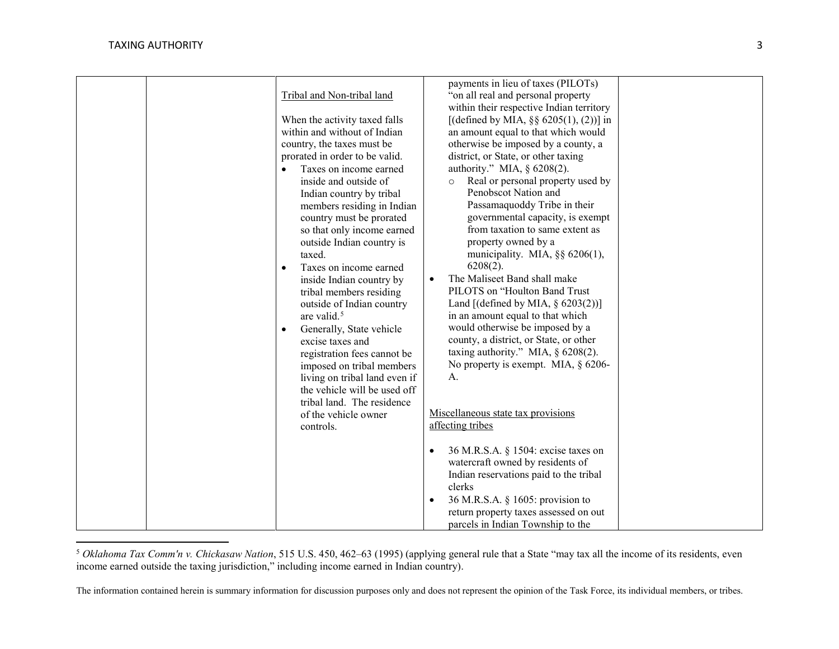l

<span id="page-2-0"></span>

| Tribal and Non-tribal land<br>When the activity taxed falls<br>within and without of Indian<br>country, the taxes must be<br>prorated in order to be valid.<br>Taxes on income earned<br>inside and outside of<br>Indian country by tribal<br>members residing in Indian<br>country must be prorated<br>so that only income earned<br>outside Indian country is<br>taxed.<br>Taxes on income earned<br>$\bullet$<br>inside Indian country by<br>tribal members residing<br>outside of Indian country<br>are valid. <sup>5</sup><br>Generally, State vehicle<br>$\bullet$<br>excise taxes and<br>registration fees cannot be<br>imposed on tribal members<br>living on tribal land even if<br>the vehicle will be used off<br>tribal land. The residence<br>of the vehicle owner | payments in lieu of taxes (PILOTs)<br>"on all real and personal property"<br>within their respective Indian territory<br>[(defined by MIA, $\S\S 6205(1)$ , (2))] in<br>an amount equal to that which would<br>otherwise be imposed by a county, a<br>district, or State, or other taxing<br>authority." MIA, § 6208(2).<br>Real or personal property used by<br>Penobscot Nation and<br>Passamaquoddy Tribe in their<br>governmental capacity, is exempt<br>from taxation to same extent as<br>property owned by a<br>municipality. MIA, §§ 6206(1),<br>$6208(2)$ .<br>The Maliseet Band shall make<br>$\bullet$<br>PILOTS on "Houlton Band Trust<br>Land $[(defined by MIA, § 6203(2))]$<br>in an amount equal to that which<br>would otherwise be imposed by a<br>county, a district, or State, or other<br>taxing authority." MIA, $\S$ 6208(2).<br>No property is exempt. MIA, $\S$ 6206-<br>А.<br>Miscellaneous state tax provisions |
|---------------------------------------------------------------------------------------------------------------------------------------------------------------------------------------------------------------------------------------------------------------------------------------------------------------------------------------------------------------------------------------------------------------------------------------------------------------------------------------------------------------------------------------------------------------------------------------------------------------------------------------------------------------------------------------------------------------------------------------------------------------------------------|--------------------------------------------------------------------------------------------------------------------------------------------------------------------------------------------------------------------------------------------------------------------------------------------------------------------------------------------------------------------------------------------------------------------------------------------------------------------------------------------------------------------------------------------------------------------------------------------------------------------------------------------------------------------------------------------------------------------------------------------------------------------------------------------------------------------------------------------------------------------------------------------------------------------------------------------|
| controls.                                                                                                                                                                                                                                                                                                                                                                                                                                                                                                                                                                                                                                                                                                                                                                       | affecting tribes                                                                                                                                                                                                                                                                                                                                                                                                                                                                                                                                                                                                                                                                                                                                                                                                                                                                                                                           |
|                                                                                                                                                                                                                                                                                                                                                                                                                                                                                                                                                                                                                                                                                                                                                                                 | 36 M.R.S.A. § 1504: excise taxes on<br>$\bullet$<br>watercraft owned by residents of<br>Indian reservations paid to the tribal<br>clerks<br>36 M.R.S.A. § 1605: provision to<br>$\bullet$<br>return property taxes assessed on out<br>parcels in Indian Township to the                                                                                                                                                                                                                                                                                                                                                                                                                                                                                                                                                                                                                                                                    |

<sup>5</sup> *Oklahoma Tax Comm'n v. Chickasaw Nation*, 515 U.S. 450, 462–63 (1995) (applying general rule that a State "may tax all the income of its residents, even income earned outside the taxing jurisdiction," including income earned in Indian country).

The information contained herein is summary information for discussion purposes only and does not represent the opinion of the Task Force, its individual members, or tribes.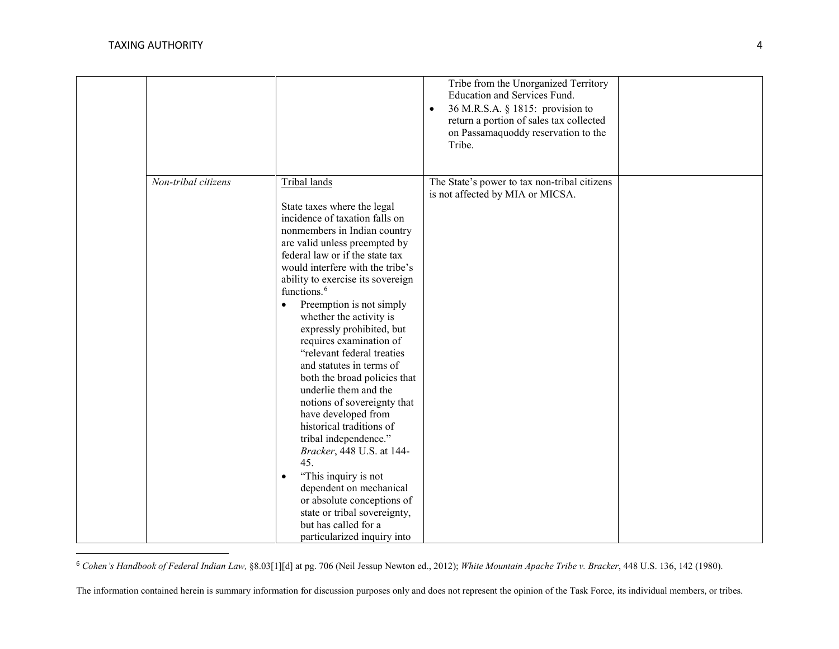<span id="page-3-0"></span>

|                                  |                                                                                                                                                                                                                                                                                                                                                                                                                                                                                                                                                                                                                                                                                                                                                                                                                                                                          | Tribe from the Unorganized Territory<br>Education and Services Fund.<br>36 M.R.S.A. § 1815: provision to<br>$\bullet$<br>return a portion of sales tax collected<br>on Passamaquoddy reservation to the<br>Tribe. |  |
|----------------------------------|--------------------------------------------------------------------------------------------------------------------------------------------------------------------------------------------------------------------------------------------------------------------------------------------------------------------------------------------------------------------------------------------------------------------------------------------------------------------------------------------------------------------------------------------------------------------------------------------------------------------------------------------------------------------------------------------------------------------------------------------------------------------------------------------------------------------------------------------------------------------------|-------------------------------------------------------------------------------------------------------------------------------------------------------------------------------------------------------------------|--|
| $\overline{Non-tribal}$ citizens | Tribal lands<br>State taxes where the legal<br>incidence of taxation falls on<br>nonmembers in Indian country<br>are valid unless preempted by<br>federal law or if the state tax<br>would interfere with the tribe's<br>ability to exercise its sovereign<br>functions. <sup>6</sup><br>Preemption is not simply<br>$\bullet$<br>whether the activity is<br>expressly prohibited, but<br>requires examination of<br>"relevant federal treaties<br>and statutes in terms of<br>both the broad policies that<br>underlie them and the<br>notions of sovereignty that<br>have developed from<br>historical traditions of<br>tribal independence."<br>Bracker, 448 U.S. at 144-<br>45.<br>"This inquiry is not<br>$\bullet$<br>dependent on mechanical<br>or absolute conceptions of<br>state or tribal sovereignty,<br>but has called for a<br>particularized inquiry into | The State's power to tax non-tribal citizens<br>is not affected by MIA or MICSA.                                                                                                                                  |  |

6 *Cohen's Handbook of Federal Indian Law,* §8.03[1][d] at pg. 706 (Neil Jessup Newton ed., 2012); *White Mountain Apache Tribe v. Bracker*, 448 U.S. 136, 142 (1980).

The information contained herein is summary information for discussion purposes only and does not represent the opinion of the Task Force, its individual members, or tribes.